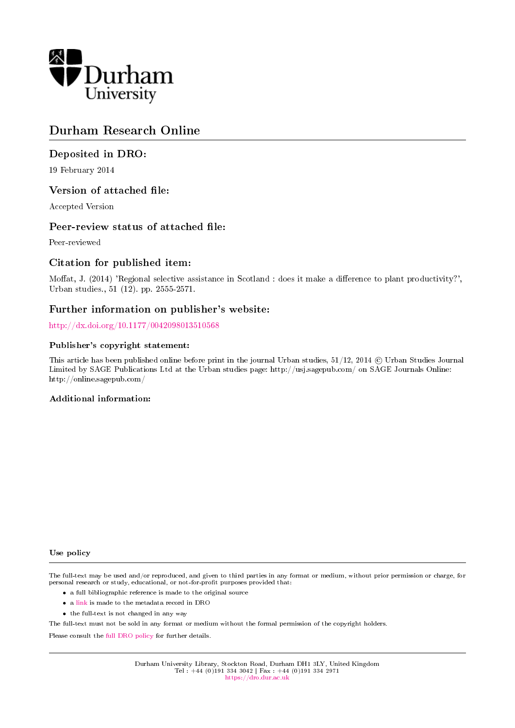

# Durham Research Online

#### Deposited in DRO:

19 February 2014

#### Version of attached file:

Accepted Version

#### Peer-review status of attached file:

Peer-reviewed

#### Citation for published item:

Moffat, J. (2014) 'Regional selective assistance in Scotland : does it make a difference to plant productivity?', Urban studies., 51 (12). pp. 2555-2571.

#### Further information on publisher's website:

<http://dx.doi.org/10.1177/0042098013510568>

#### Publisher's copyright statement:

This article has been published online before print in the journal Urban studies, 51/12, 2014 © Urban Studies Journal Limited by SAGE Publications Ltd at the Urban studies page: http://usj.sagepub.com/ on SAGE Journals Online: http://online.sagepub.com/

#### Additional information:

Use policy

The full-text may be used and/or reproduced, and given to third parties in any format or medium, without prior permission or charge, for personal research or study, educational, or not-for-profit purposes provided that:

- a full bibliographic reference is made to the original source
- a [link](http://dro.dur.ac.uk/11825/) is made to the metadata record in DRO
- the full-text is not changed in any way

The full-text must not be sold in any format or medium without the formal permission of the copyright holders.

Please consult the [full DRO policy](https://dro.dur.ac.uk/policies/usepolicy.pdf) for further details.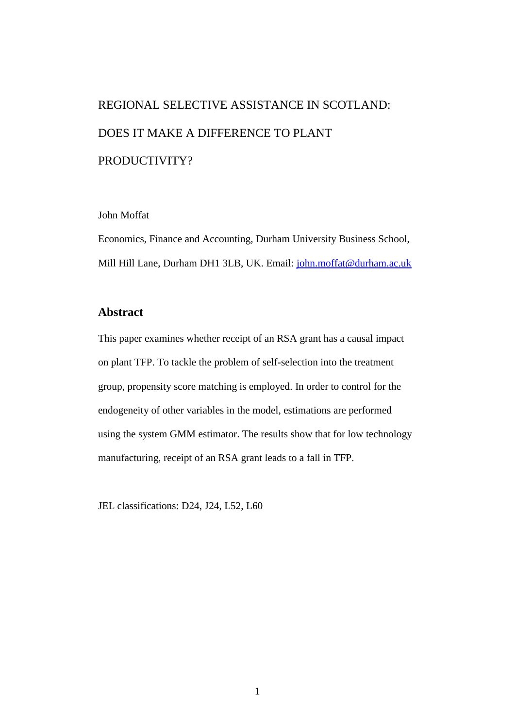# REGIONAL SELECTIVE ASSISTANCE IN SCOTLAND: DOES IT MAKE A DIFFERENCE TO PLANT PRODUCTIVITY?

#### John Moffat

Economics, Finance and Accounting, Durham University Business School, Mill Hill Lane, Durham DH1 3LB, UK. Email: [john.moffat@durham.ac.uk](mailto:john.moffat@durham.ac.uk)

# **Abstract**

This paper examines whether receipt of an RSA grant has a causal impact on plant TFP. To tackle the problem of self-selection into the treatment group, propensity score matching is employed. In order to control for the endogeneity of other variables in the model, estimations are performed using the system GMM estimator. The results show that for low technology manufacturing, receipt of an RSA grant leads to a fall in TFP.

JEL classifications: D24, J24, L52, L60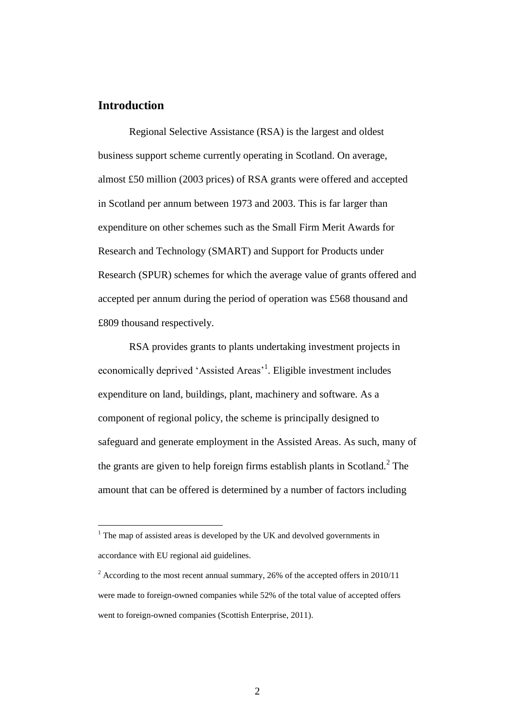# **Introduction**

 $\overline{a}$ 

Regional Selective Assistance (RSA) is the largest and oldest business support scheme currently operating in Scotland. On average, almost £50 million (2003 prices) of RSA grants were offered and accepted in Scotland per annum between 1973 and 2003. This is far larger than expenditure on other schemes such as the Small Firm Merit Awards for Research and Technology (SMART) and Support for Products under Research (SPUR) schemes for which the average value of grants offered and accepted per annum during the period of operation was £568 thousand and £809 thousand respectively.

RSA provides grants to plants undertaking investment projects in economically deprived 'Assisted Areas'<sup>1</sup>. Eligible investment includes expenditure on land, buildings, plant, machinery and software. As a component of regional policy, the scheme is principally designed to safeguard and generate employment in the Assisted Areas. As such, many of the grants are given to help foreign firms establish plants in Scotland. $2$  The amount that can be offered is determined by a number of factors including

 $1$ . The map of assisted areas is developed by the UK and devolved governments in accordance with EU regional aid guidelines.

 $2 \text{ According to the most recent annual summary}, 26\%$  of the accepted offers in 2010/11 were made to foreign-owned companies while 52% of the total value of accepted offers went to foreign-owned companies (Scottish Enterprise, 2011).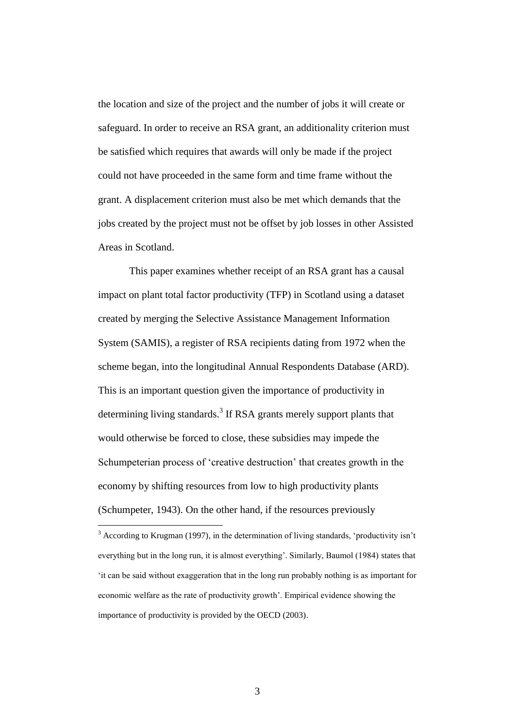the location and size of the project and the number of jobs it will create or safeguard. In order to receive an RSA grant, an additionality criterion must be satisfied which requires that awards will only be made if the project could not have proceeded in the same form and time frame without the grant. A displacement criterion must also be met which demands that the jobs created by the project must not be offset by job losses in other Assisted Areas in Scotland.

This paper examines whether receipt of an RSA grant has a causal impact on plant total factor productivity (TFP) in Scotland using a dataset created by merging the Selective Assistance Management Information System (SAMIS), a register of RSA recipients dating from 1972 when the scheme began, into the longitudinal Annual Respondents Database (ARD). This is an important question given the importance of productivity in determining living standards.<sup>3</sup> If RSA grants merely support plants that would otherwise be forced to close, these subsidies may impede the Schumpeterian process of 'creative destruction' that creates growth in the economy by shifting resources from low to high productivity plants (Schumpeter, 1943). On the other hand, if the resources previously

 $3$  According to Krugman (1997), in the determination of living standards, 'productivity isn't everything but in the long run, it is almost everything'. Similarly, Baumol (1984) states that 'it can be said without exaggeration that in the long run probably nothing is as important for economic welfare as the rate of productivity growth'. Empirical evidence showing the importance of productivity is provided by the OECD (2003).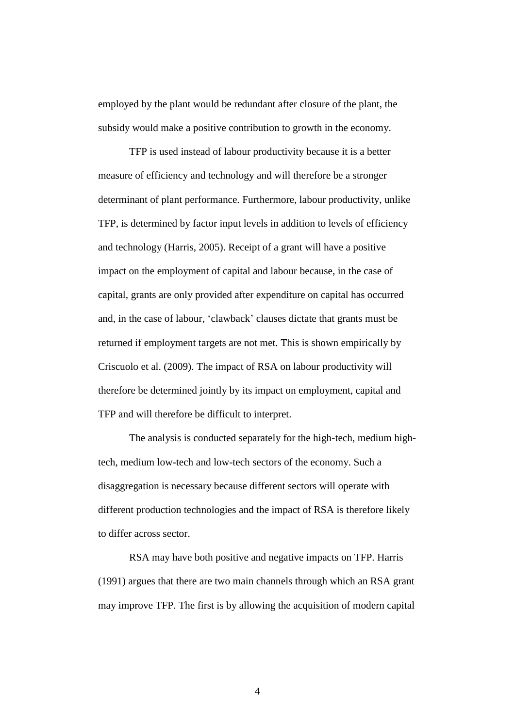employed by the plant would be redundant after closure of the plant, the subsidy would make a positive contribution to growth in the economy.

TFP is used instead of labour productivity because it is a better measure of efficiency and technology and will therefore be a stronger determinant of plant performance. Furthermore, labour productivity, unlike TFP, is determined by factor input levels in addition to levels of efficiency and technology (Harris, 2005). Receipt of a grant will have a positive impact on the employment of capital and labour because, in the case of capital, grants are only provided after expenditure on capital has occurred and, in the case of labour, 'clawback' clauses dictate that grants must be returned if employment targets are not met. This is shown empirically by Criscuolo et al. (2009). The impact of RSA on labour productivity will therefore be determined jointly by its impact on employment, capital and TFP and will therefore be difficult to interpret.

The analysis is conducted separately for the high-tech, medium hightech, medium low-tech and low-tech sectors of the economy. Such a disaggregation is necessary because different sectors will operate with different production technologies and the impact of RSA is therefore likely to differ across sector.

RSA may have both positive and negative impacts on TFP. Harris (1991) argues that there are two main channels through which an RSA grant may improve TFP. The first is by allowing the acquisition of modern capital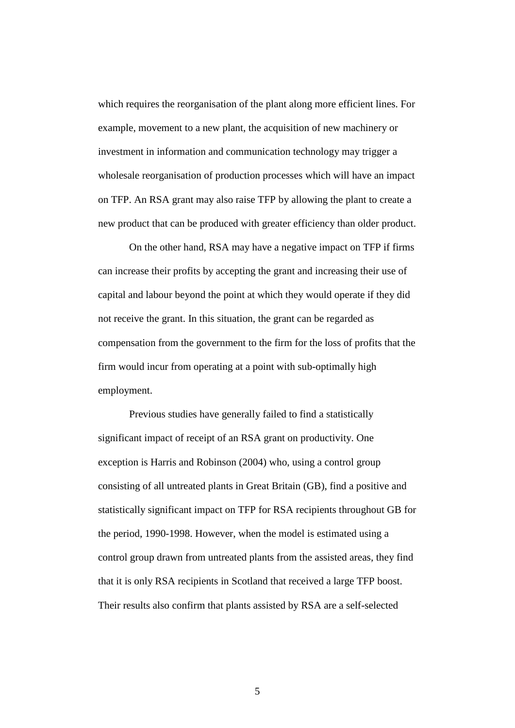which requires the reorganisation of the plant along more efficient lines. For example, movement to a new plant, the acquisition of new machinery or investment in information and communication technology may trigger a wholesale reorganisation of production processes which will have an impact on TFP. An RSA grant may also raise TFP by allowing the plant to create a new product that can be produced with greater efficiency than older product.

On the other hand, RSA may have a negative impact on TFP if firms can increase their profits by accepting the grant and increasing their use of capital and labour beyond the point at which they would operate if they did not receive the grant. In this situation, the grant can be regarded as compensation from the government to the firm for the loss of profits that the firm would incur from operating at a point with sub-optimally high employment.

Previous studies have generally failed to find a statistically significant impact of receipt of an RSA grant on productivity. One exception is Harris and Robinson (2004) who, using a control group consisting of all untreated plants in Great Britain (GB), find a positive and statistically significant impact on TFP for RSA recipients throughout GB for the period, 1990-1998. However, when the model is estimated using a control group drawn from untreated plants from the assisted areas, they find that it is only RSA recipients in Scotland that received a large TFP boost. Their results also confirm that plants assisted by RSA are a self-selected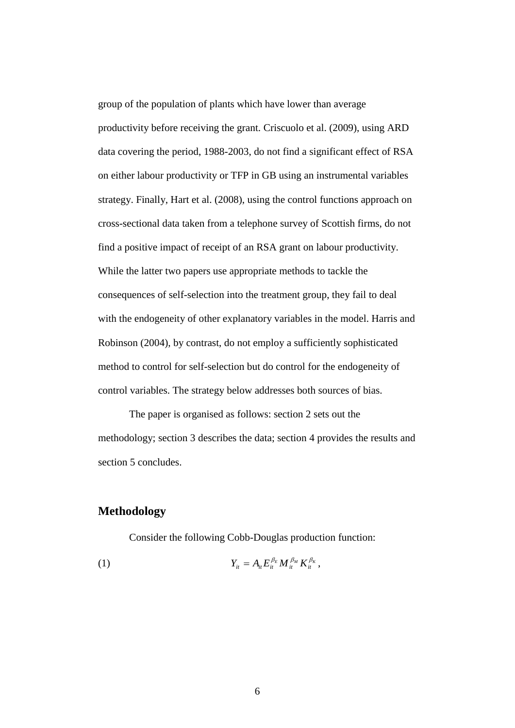group of the population of plants which have lower than average productivity before receiving the grant. Criscuolo et al. (2009), using ARD data covering the period, 1988-2003, do not find a significant effect of RSA on either labour productivity or TFP in GB using an instrumental variables strategy. Finally, Hart et al. (2008), using the control functions approach on cross-sectional data taken from a telephone survey of Scottish firms, do not find a positive impact of receipt of an RSA grant on labour productivity. While the latter two papers use appropriate methods to tackle the consequences of self-selection into the treatment group, they fail to deal with the endogeneity of other explanatory variables in the model. Harris and Robinson (2004), by contrast, do not employ a sufficiently sophisticated method to control for self-selection but do control for the endogeneity of control variables. The strategy below addresses both sources of bias.

The paper is organised as follows: section 2 sets out the methodology; section 3 describes the data; section 4 provides the results and section 5 concludes.

# **Methodology**

Consider the following Cobb-Douglas production function:

(1) 
$$
Y_{it} = A_{it} E_{it}^{\beta_E} M_{it}^{\beta_M} K_{it}^{\beta_K},
$$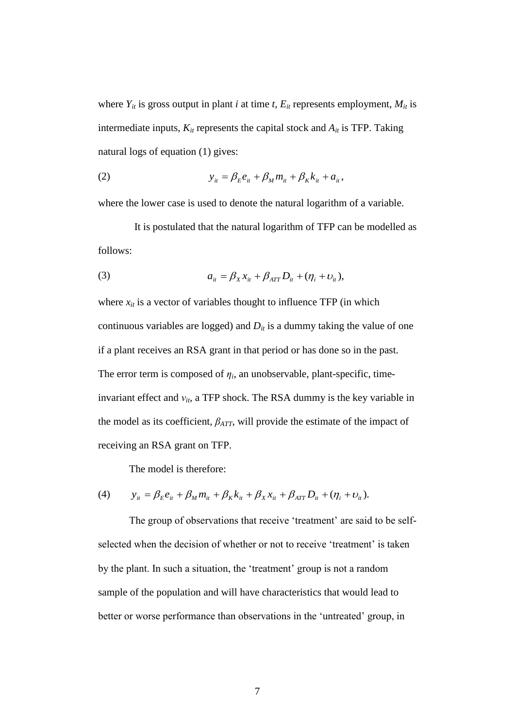where  $Y_{it}$  is gross output in plant *i* at time *t*,  $E_{it}$  represents employment,  $M_{it}$  is intermediate inputs,  $K_{it}$  represents the capital stock and  $A_{it}$  is TFP. Taking natural logs of equation (1) gives:

(2) 
$$
y_{it} = \beta_E e_{it} + \beta_M m_{it} + \beta_K k_{it} + a_{it},
$$

where the lower case is used to denote the natural logarithm of a variable.

It is postulated that the natural logarithm of TFP can be modelled as follows:

(3) 
$$
a_{it} = \beta_X x_{it} + \beta_{ATT} D_{it} + (\eta_i + \upsilon_{it}),
$$

where  $x_{it}$  is a vector of variables thought to influence TFP (in which continuous variables are logged) and  $D<sub>it</sub>$  is a dummy taking the value of one if a plant receives an RSA grant in that period or has done so in the past. The error term is composed of  $\eta_i$ , an unobservable, plant-specific, timeinvariant effect and  $v_{it}$ , a TFP shock. The RSA dummy is the key variable in the model as its coefficient,  $\beta_{ATT}$ , will provide the estimate of the impact of receiving an RSA grant on TFP.

The model is therefore:

(4) 
$$
y_{it} = \beta_E e_{it} + \beta_M m_{it} + \beta_K k_{it} + \beta_X x_{it} + \beta_{ATT} D_{it} + (\eta_i + v_{it}).
$$

The group of observations that receive 'treatment' are said to be selfselected when the decision of whether or not to receive 'treatment' is taken by the plant. In such a situation, the 'treatment' group is not a random sample of the population and will have characteristics that would lead to better or worse performance than observations in the 'untreated' group, in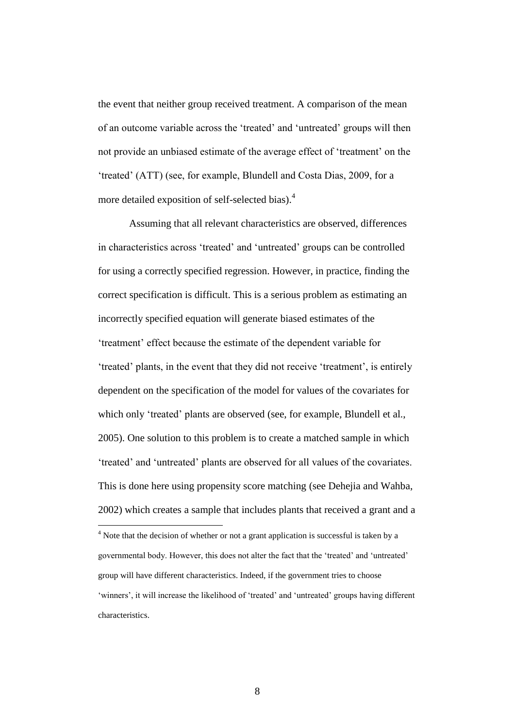the event that neither group received treatment. A comparison of the mean of an outcome variable across the 'treated' and 'untreated' groups will then not provide an unbiased estimate of the average effect of 'treatment' on the 'treated' (ATT) (see, for example, Blundell and Costa Dias, 2009, for a more detailed exposition of self-selected bias).<sup>4</sup>

Assuming that all relevant characteristics are observed, differences in characteristics across 'treated' and 'untreated' groups can be controlled for using a correctly specified regression. However, in practice, finding the correct specification is difficult. This is a serious problem as estimating an incorrectly specified equation will generate biased estimates of the 'treatment' effect because the estimate of the dependent variable for 'treated' plants, in the event that they did not receive 'treatment', is entirely dependent on the specification of the model for values of the covariates for which only 'treated' plants are observed (see, for example, Blundell et al., 2005). One solution to this problem is to create a matched sample in which 'treated' and 'untreated' plants are observed for all values of the covariates. This is done here using propensity score matching (see Dehejia and Wahba, 2002) which creates a sample that includes plants that received a grant and a

 $4$  Note that the decision of whether or not a grant application is successful is taken by a governmental body. However, this does not alter the fact that the 'treated' and 'untreated' group will have different characteristics. Indeed, if the government tries to choose 'winners', it will increase the likelihood of 'treated' and 'untreated' groups having different characteristics.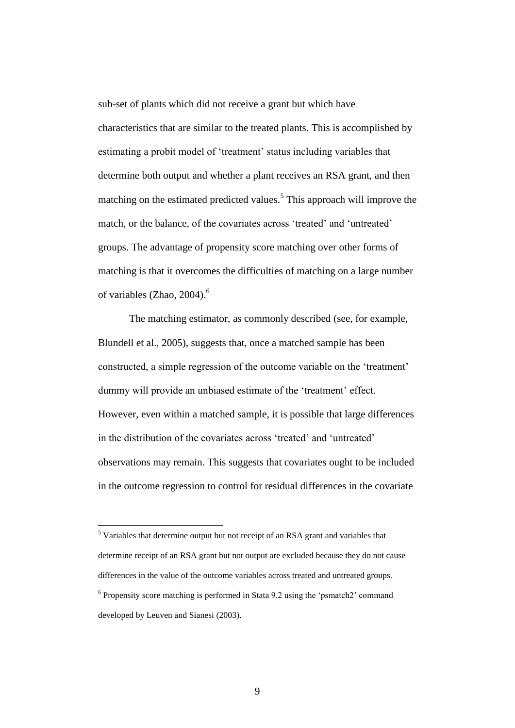sub-set of plants which did not receive a grant but which have characteristics that are similar to the treated plants. This is accomplished by estimating a probit model of 'treatment' status including variables that determine both output and whether a plant receives an RSA grant, and then matching on the estimated predicted values.<sup>5</sup> This approach will improve the match, or the balance, of the covariates across 'treated' and 'untreated' groups. The advantage of propensity score matching over other forms of matching is that it overcomes the difficulties of matching on a large number of variables (Zhao,  $2004$ ).<sup>6</sup>

The matching estimator, as commonly described (see, for example, Blundell et al., 2005), suggests that, once a matched sample has been constructed, a simple regression of the outcome variable on the 'treatment' dummy will provide an unbiased estimate of the 'treatment' effect. However, even within a matched sample, it is possible that large differences in the distribution of the covariates across 'treated' and 'untreated' observations may remain. This suggests that covariates ought to be included in the outcome regression to control for residual differences in the covariate

 $<sup>5</sup>$  Variables that determine output but not receipt of an RSA grant and variables that</sup> determine receipt of an RSA grant but not output are excluded because they do not cause differences in the value of the outcome variables across treated and untreated groups. <sup>6</sup> Propensity score matching is performed in Stata 9.2 using the 'psmatch2' command developed by Leuven and Sianesi (2003).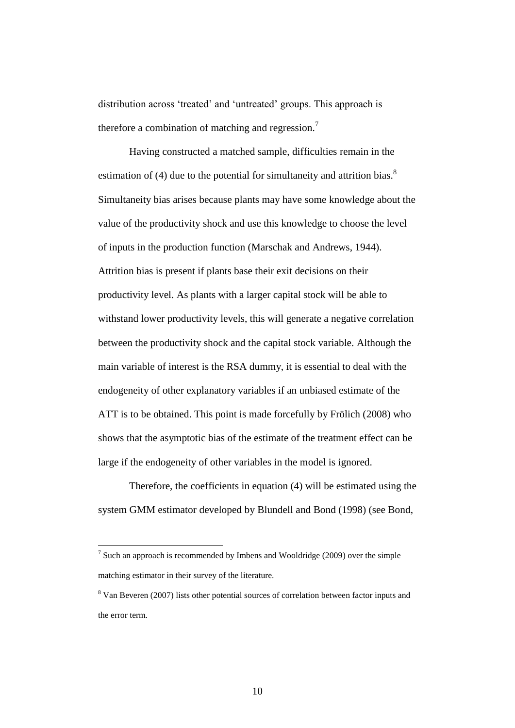distribution across 'treated' and 'untreated' groups. This approach is therefore a combination of matching and regression.<sup>7</sup>

Having constructed a matched sample, difficulties remain in the estimation of (4) due to the potential for simultaneity and attrition bias.<sup>8</sup> Simultaneity bias arises because plants may have some knowledge about the value of the productivity shock and use this knowledge to choose the level of inputs in the production function (Marschak and Andrews, 1944). Attrition bias is present if plants base their exit decisions on their productivity level. As plants with a larger capital stock will be able to withstand lower productivity levels, this will generate a negative correlation between the productivity shock and the capital stock variable. Although the main variable of interest is the RSA dummy, it is essential to deal with the endogeneity of other explanatory variables if an unbiased estimate of the ATT is to be obtained. This point is made forcefully by Frölich (2008) who shows that the asymptotic bias of the estimate of the treatment effect can be large if the endogeneity of other variables in the model is ignored.

Therefore, the coefficients in equation (4) will be estimated using the system GMM estimator developed by Blundell and Bond (1998) (see Bond,

<sup>&</sup>lt;sup>7</sup> Such an approach is recommended by Imbens and Wooldridge (2009) over the simple matching estimator in their survey of the literature.

<sup>8</sup> Van Beveren (2007) lists other potential sources of correlation between factor inputs and the error term.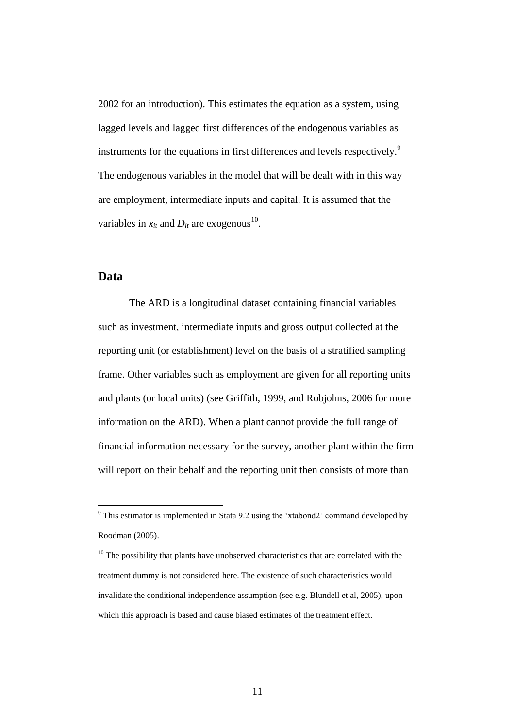2002 for an introduction). This estimates the equation as a system, using lagged levels and lagged first differences of the endogenous variables as instruments for the equations in first differences and levels respectively.<sup>9</sup> The endogenous variables in the model that will be dealt with in this way are employment, intermediate inputs and capital. It is assumed that the variables in  $x_{it}$  and  $D_{it}$  are exogenous<sup>10</sup>.

#### **Data**

 $\overline{a}$ 

The ARD is a longitudinal dataset containing financial variables such as investment, intermediate inputs and gross output collected at the reporting unit (or establishment) level on the basis of a stratified sampling frame. Other variables such as employment are given for all reporting units and plants (or local units) (see Griffith, 1999, and Robjohns, 2006 for more information on the ARD). When a plant cannot provide the full range of financial information necessary for the survey, another plant within the firm will report on their behalf and the reporting unit then consists of more than

 $9$  This estimator is implemented in Stata 9.2 using the 'xtabond2' command developed by Roodman (2005).

 $10$  The possibility that plants have unobserved characteristics that are correlated with the treatment dummy is not considered here. The existence of such characteristics would invalidate the conditional independence assumption (see e.g. Blundell et al, 2005), upon which this approach is based and cause biased estimates of the treatment effect.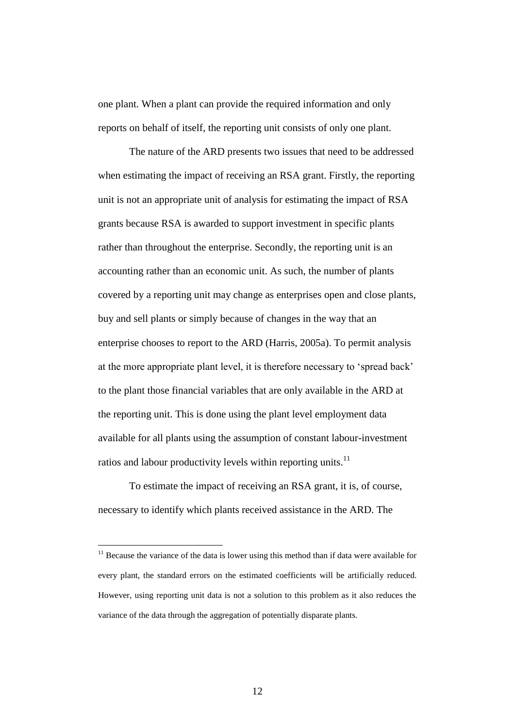one plant. When a plant can provide the required information and only reports on behalf of itself, the reporting unit consists of only one plant.

The nature of the ARD presents two issues that need to be addressed when estimating the impact of receiving an RSA grant. Firstly, the reporting unit is not an appropriate unit of analysis for estimating the impact of RSA grants because RSA is awarded to support investment in specific plants rather than throughout the enterprise. Secondly, the reporting unit is an accounting rather than an economic unit. As such, the number of plants covered by a reporting unit may change as enterprises open and close plants, buy and sell plants or simply because of changes in the way that an enterprise chooses to report to the ARD (Harris, 2005a). To permit analysis at the more appropriate plant level, it is therefore necessary to 'spread back' to the plant those financial variables that are only available in the ARD at the reporting unit. This is done using the plant level employment data available for all plants using the assumption of constant labour-investment ratios and labour productivity levels within reporting units. $^{11}$ 

To estimate the impact of receiving an RSA grant, it is, of course, necessary to identify which plants received assistance in the ARD. The

 $11$  Because the variance of the data is lower using this method than if data were available for every plant, the standard errors on the estimated coefficients will be artificially reduced. However, using reporting unit data is not a solution to this problem as it also reduces the variance of the data through the aggregation of potentially disparate plants.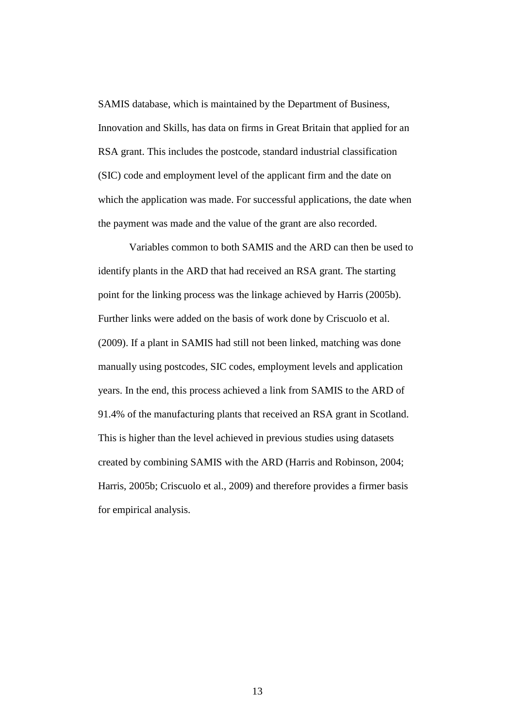SAMIS database, which is maintained by the Department of Business, Innovation and Skills, has data on firms in Great Britain that applied for an RSA grant. This includes the postcode, standard industrial classification (SIC) code and employment level of the applicant firm and the date on which the application was made. For successful applications, the date when the payment was made and the value of the grant are also recorded.

Variables common to both SAMIS and the ARD can then be used to identify plants in the ARD that had received an RSA grant. The starting point for the linking process was the linkage achieved by Harris (2005b). Further links were added on the basis of work done by Criscuolo et al. (2009). If a plant in SAMIS had still not been linked, matching was done manually using postcodes, SIC codes, employment levels and application years. In the end, this process achieved a link from SAMIS to the ARD of 91.4% of the manufacturing plants that received an RSA grant in Scotland. This is higher than the level achieved in previous studies using datasets created by combining SAMIS with the ARD (Harris and Robinson, 2004; Harris, 2005b; Criscuolo et al., 2009) and therefore provides a firmer basis for empirical analysis.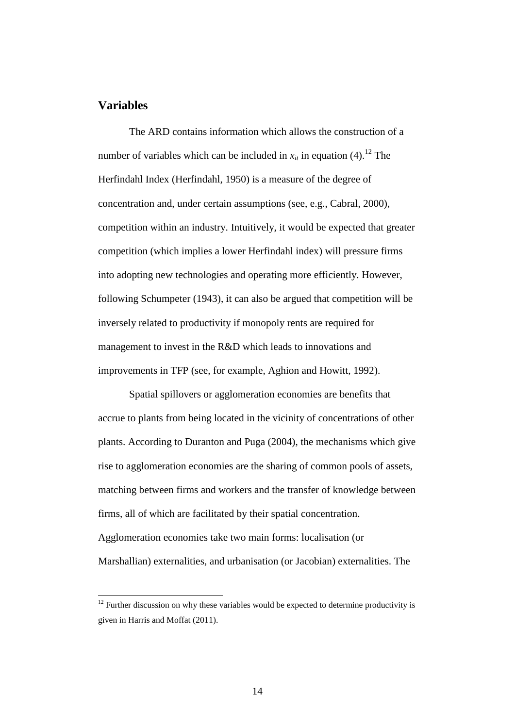# **Variables**

 $\overline{a}$ 

The ARD contains information which allows the construction of a number of variables which can be included in  $x_{it}$  in equation (4).<sup>12</sup> The Herfindahl Index (Herfindahl, 1950) is a measure of the degree of concentration and, under certain assumptions (see, e.g., Cabral, 2000), competition within an industry. Intuitively, it would be expected that greater competition (which implies a lower Herfindahl index) will pressure firms into adopting new technologies and operating more efficiently. However, following Schumpeter (1943), it can also be argued that competition will be inversely related to productivity if monopoly rents are required for management to invest in the R&D which leads to innovations and improvements in TFP (see, for example, Aghion and Howitt, 1992).

Spatial spillovers or agglomeration economies are benefits that accrue to plants from being located in the vicinity of concentrations of other plants. According to Duranton and Puga (2004), the mechanisms which give rise to agglomeration economies are the sharing of common pools of assets, matching between firms and workers and the transfer of knowledge between firms, all of which are facilitated by their spatial concentration. Agglomeration economies take two main forms: localisation (or Marshallian) externalities, and urbanisation (or Jacobian) externalities. The

 $12$  Further discussion on why these variables would be expected to determine productivity is given in Harris and Moffat (2011).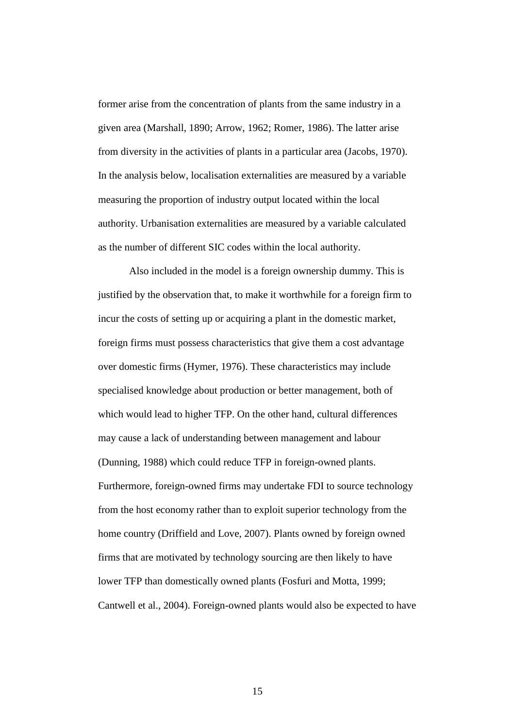former arise from the concentration of plants from the same industry in a given area (Marshall, 1890; Arrow, 1962; Romer, 1986). The latter arise from diversity in the activities of plants in a particular area (Jacobs, 1970). In the analysis below, localisation externalities are measured by a variable measuring the proportion of industry output located within the local authority. Urbanisation externalities are measured by a variable calculated as the number of different SIC codes within the local authority.

Also included in the model is a foreign ownership dummy. This is justified by the observation that, to make it worthwhile for a foreign firm to incur the costs of setting up or acquiring a plant in the domestic market, foreign firms must possess characteristics that give them a cost advantage over domestic firms (Hymer, 1976). These characteristics may include specialised knowledge about production or better management, both of which would lead to higher TFP. On the other hand, cultural differences may cause a lack of understanding between management and labour (Dunning, 1988) which could reduce TFP in foreign-owned plants. Furthermore, foreign-owned firms may undertake FDI to source technology from the host economy rather than to exploit superior technology from the home country (Driffield and Love, 2007). Plants owned by foreign owned firms that are motivated by technology sourcing are then likely to have lower TFP than domestically owned plants (Fosfuri and Motta, 1999; Cantwell et al., 2004). Foreign-owned plants would also be expected to have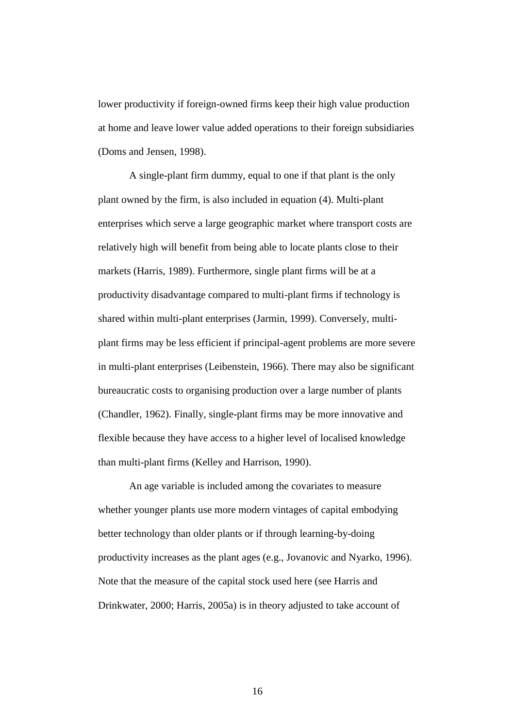lower productivity if foreign-owned firms keep their high value production at home and leave lower value added operations to their foreign subsidiaries (Doms and Jensen, 1998).

A single-plant firm dummy, equal to one if that plant is the only plant owned by the firm, is also included in equation (4). Multi-plant enterprises which serve a large geographic market where transport costs are relatively high will benefit from being able to locate plants close to their markets (Harris, 1989). Furthermore, single plant firms will be at a productivity disadvantage compared to multi-plant firms if technology is shared within multi-plant enterprises (Jarmin, 1999). Conversely, multiplant firms may be less efficient if principal-agent problems are more severe in multi-plant enterprises (Leibenstein, 1966). There may also be significant bureaucratic costs to organising production over a large number of plants (Chandler, 1962). Finally, single-plant firms may be more innovative and flexible because they have access to a higher level of localised knowledge than multi-plant firms (Kelley and Harrison, 1990).

An age variable is included among the covariates to measure whether younger plants use more modern vintages of capital embodying better technology than older plants or if through learning-by-doing productivity increases as the plant ages (e.g., Jovanovic and Nyarko, 1996). Note that the measure of the capital stock used here (see Harris and Drinkwater, 2000; Harris, 2005a) is in theory adjusted to take account of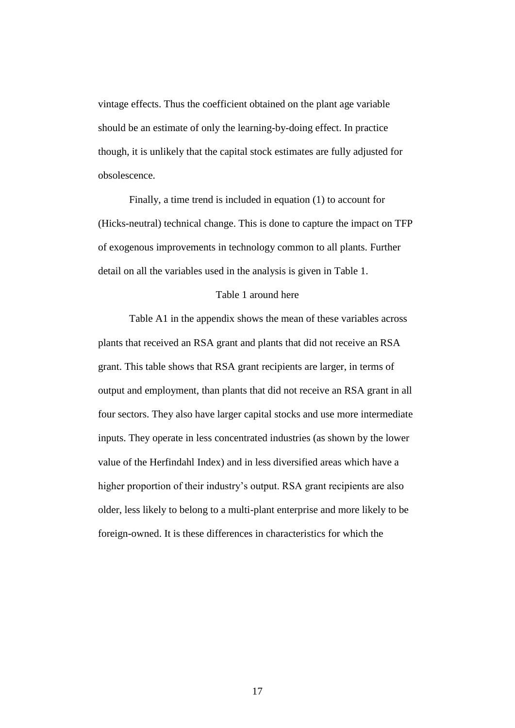vintage effects. Thus the coefficient obtained on the plant age variable should be an estimate of only the learning-by-doing effect. In practice though, it is unlikely that the capital stock estimates are fully adjusted for obsolescence.

Finally, a time trend is included in equation (1) to account for (Hicks-neutral) technical change. This is done to capture the impact on TFP of exogenous improvements in technology common to all plants. Further detail on all the variables used in the analysis is given in Table 1.

#### Table 1 around here

Table A1 in the appendix shows the mean of these variables across plants that received an RSA grant and plants that did not receive an RSA grant. This table shows that RSA grant recipients are larger, in terms of output and employment, than plants that did not receive an RSA grant in all four sectors. They also have larger capital stocks and use more intermediate inputs. They operate in less concentrated industries (as shown by the lower value of the Herfindahl Index) and in less diversified areas which have a higher proportion of their industry's output. RSA grant recipients are also older, less likely to belong to a multi-plant enterprise and more likely to be foreign-owned. It is these differences in characteristics for which the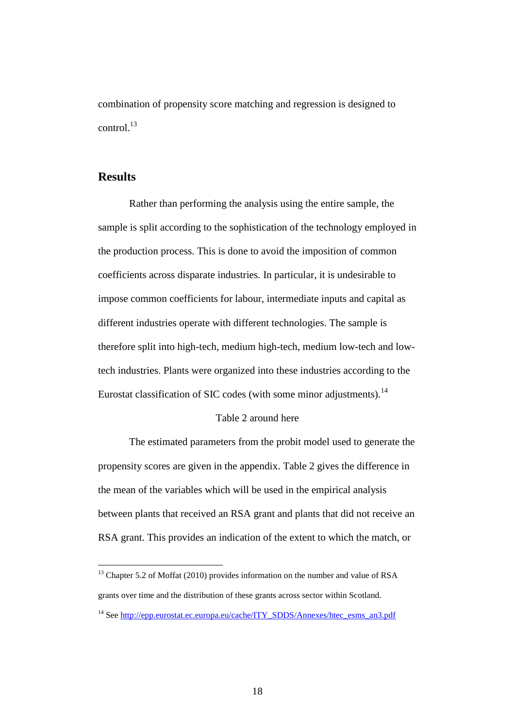combination of propensity score matching and regression is designed to control. $^{13}$ 

# **Results**

 $\overline{a}$ 

Rather than performing the analysis using the entire sample, the sample is split according to the sophistication of the technology employed in the production process. This is done to avoid the imposition of common coefficients across disparate industries. In particular, it is undesirable to impose common coefficients for labour, intermediate inputs and capital as different industries operate with different technologies. The sample is therefore split into high-tech, medium high-tech, medium low-tech and lowtech industries. Plants were organized into these industries according to the Eurostat classification of SIC codes (with some minor adjustments).<sup>14</sup>

#### Table 2 around here

The estimated parameters from the probit model used to generate the propensity scores are given in the appendix. Table 2 gives the difference in the mean of the variables which will be used in the empirical analysis between plants that received an RSA grant and plants that did not receive an RSA grant. This provides an indication of the extent to which the match, or

<sup>13</sup> Chapter 5.2 of Moffat (2010) provides information on the number and value of RSA grants over time and the distribution of these grants across sector within Scotland.

<sup>&</sup>lt;sup>14</sup> See [http://epp.eurostat.ec.europa.eu/cache/ITY\\_SDDS/Annexes/htec\\_esms\\_an3.pdf](http://epp.eurostat.ec.europa.eu/cache/ITY_SDDS/Annexes/htec_esms_an3.pdf)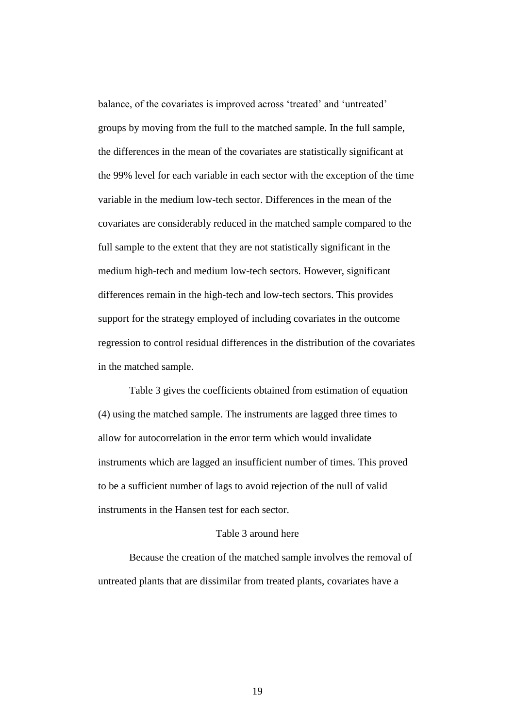balance, of the covariates is improved across 'treated' and 'untreated' groups by moving from the full to the matched sample. In the full sample, the differences in the mean of the covariates are statistically significant at the 99% level for each variable in each sector with the exception of the time variable in the medium low-tech sector. Differences in the mean of the covariates are considerably reduced in the matched sample compared to the full sample to the extent that they are not statistically significant in the medium high-tech and medium low-tech sectors. However, significant differences remain in the high-tech and low-tech sectors. This provides support for the strategy employed of including covariates in the outcome regression to control residual differences in the distribution of the covariates in the matched sample.

Table 3 gives the coefficients obtained from estimation of equation (4) using the matched sample. The instruments are lagged three times to allow for autocorrelation in the error term which would invalidate instruments which are lagged an insufficient number of times. This proved to be a sufficient number of lags to avoid rejection of the null of valid instruments in the Hansen test for each sector.

#### Table 3 around here

Because the creation of the matched sample involves the removal of untreated plants that are dissimilar from treated plants, covariates have a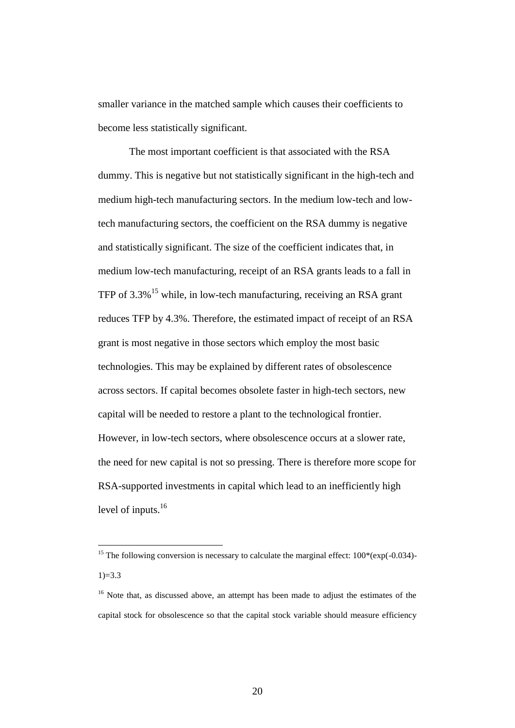smaller variance in the matched sample which causes their coefficients to become less statistically significant.

The most important coefficient is that associated with the RSA dummy. This is negative but not statistically significant in the high-tech and medium high-tech manufacturing sectors. In the medium low-tech and lowtech manufacturing sectors, the coefficient on the RSA dummy is negative and statistically significant. The size of the coefficient indicates that, in medium low-tech manufacturing, receipt of an RSA grants leads to a fall in TFP of 3.3%<sup>15</sup> while, in low-tech manufacturing, receiving an RSA grant reduces TFP by 4.3%. Therefore, the estimated impact of receipt of an RSA grant is most negative in those sectors which employ the most basic technologies. This may be explained by different rates of obsolescence across sectors. If capital becomes obsolete faster in high-tech sectors, new capital will be needed to restore a plant to the technological frontier. However, in low-tech sectors, where obsolescence occurs at a slower rate, the need for new capital is not so pressing. There is therefore more scope for RSA-supported investments in capital which lead to an inefficiently high level of inputs.<sup>16</sup>

<sup>&</sup>lt;sup>15</sup> The following conversion is necessary to calculate the marginal effect:  $100*(exp(-0.034)$ - $1)=3.3$ 

<sup>&</sup>lt;sup>16</sup> Note that, as discussed above, an attempt has been made to adjust the estimates of the capital stock for obsolescence so that the capital stock variable should measure efficiency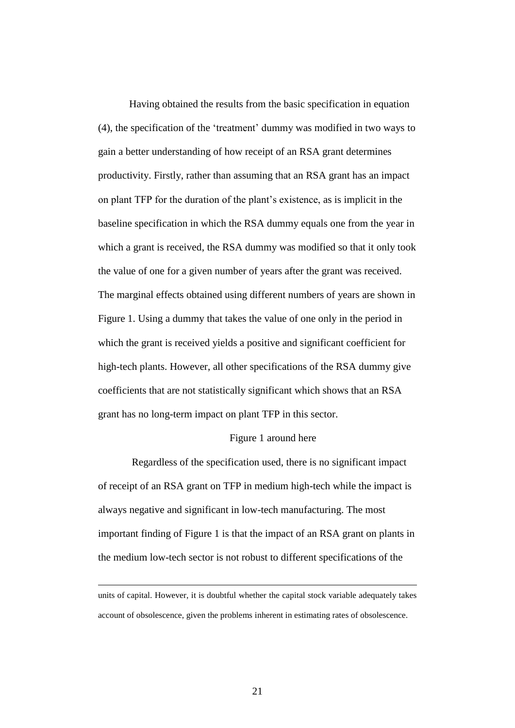Having obtained the results from the basic specification in equation (4), the specification of the 'treatment' dummy was modified in two ways to gain a better understanding of how receipt of an RSA grant determines productivity. Firstly, rather than assuming that an RSA grant has an impact on plant TFP for the duration of the plant's existence, as is implicit in the baseline specification in which the RSA dummy equals one from the year in which a grant is received, the RSA dummy was modified so that it only took the value of one for a given number of years after the grant was received. The marginal effects obtained using different numbers of years are shown in Figure 1. Using a dummy that takes the value of one only in the period in which the grant is received yields a positive and significant coefficient for high-tech plants. However, all other specifications of the RSA dummy give coefficients that are not statistically significant which shows that an RSA grant has no long-term impact on plant TFP in this sector.

#### Figure 1 around here

Regardless of the specification used, there is no significant impact of receipt of an RSA grant on TFP in medium high-tech while the impact is always negative and significant in low-tech manufacturing. The most important finding of Figure 1 is that the impact of an RSA grant on plants in the medium low-tech sector is not robust to different specifications of the

 $\overline{a}$ 

units of capital. However, it is doubtful whether the capital stock variable adequately takes account of obsolescence, given the problems inherent in estimating rates of obsolescence.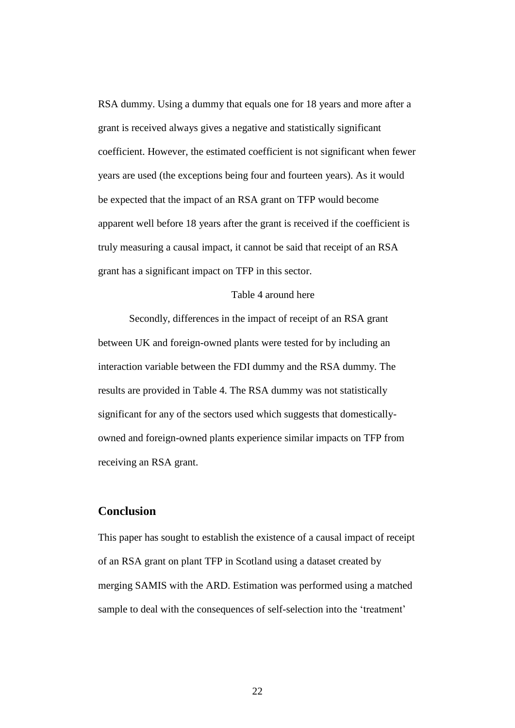RSA dummy. Using a dummy that equals one for 18 years and more after a grant is received always gives a negative and statistically significant coefficient. However, the estimated coefficient is not significant when fewer years are used (the exceptions being four and fourteen years). As it would be expected that the impact of an RSA grant on TFP would become apparent well before 18 years after the grant is received if the coefficient is truly measuring a causal impact, it cannot be said that receipt of an RSA grant has a significant impact on TFP in this sector.

#### Table 4 around here

Secondly, differences in the impact of receipt of an RSA grant between UK and foreign-owned plants were tested for by including an interaction variable between the FDI dummy and the RSA dummy. The results are provided in Table 4. The RSA dummy was not statistically significant for any of the sectors used which suggests that domesticallyowned and foreign-owned plants experience similar impacts on TFP from receiving an RSA grant.

# **Conclusion**

This paper has sought to establish the existence of a causal impact of receipt of an RSA grant on plant TFP in Scotland using a dataset created by merging SAMIS with the ARD. Estimation was performed using a matched sample to deal with the consequences of self-selection into the 'treatment'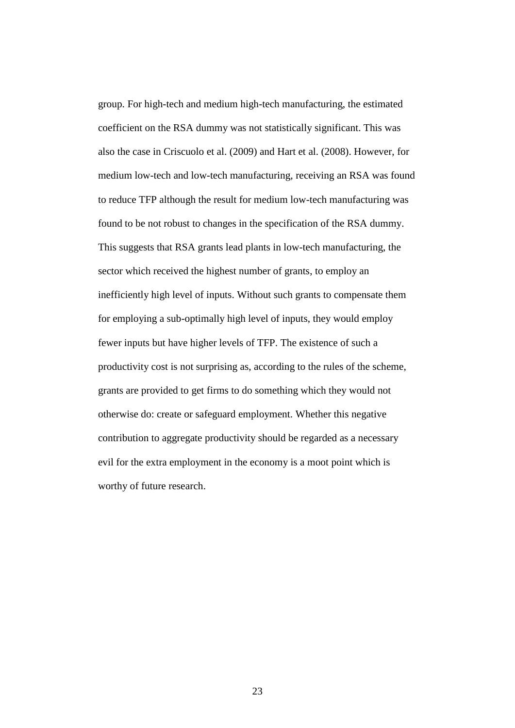group. For high-tech and medium high-tech manufacturing, the estimated coefficient on the RSA dummy was not statistically significant. This was also the case in Criscuolo et al. (2009) and Hart et al. (2008). However, for medium low-tech and low-tech manufacturing, receiving an RSA was found to reduce TFP although the result for medium low-tech manufacturing was found to be not robust to changes in the specification of the RSA dummy. This suggests that RSA grants lead plants in low-tech manufacturing, the sector which received the highest number of grants, to employ an inefficiently high level of inputs. Without such grants to compensate them for employing a sub-optimally high level of inputs, they would employ fewer inputs but have higher levels of TFP. The existence of such a productivity cost is not surprising as, according to the rules of the scheme, grants are provided to get firms to do something which they would not otherwise do: create or safeguard employment. Whether this negative contribution to aggregate productivity should be regarded as a necessary evil for the extra employment in the economy is a moot point which is worthy of future research.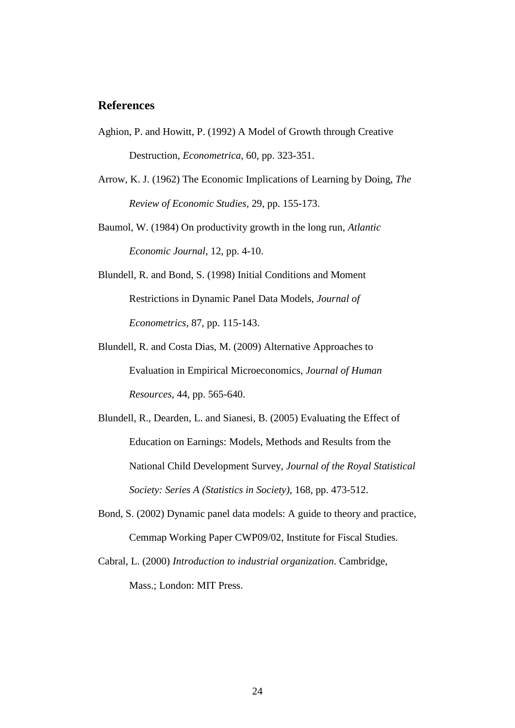### **References**

- Aghion, P. and Howitt, P. (1992) A Model of Growth through Creative Destruction, *Econometrica,* 60, pp. 323-351.
- Arrow, K. J. (1962) The Economic Implications of Learning by Doing, *The Review of Economic Studies,* 29, pp. 155-173.
- Baumol, W. (1984) On productivity growth in the long run, *Atlantic Economic Journal,* 12, pp. 4-10.
- Blundell, R. and Bond, S. (1998) Initial Conditions and Moment Restrictions in Dynamic Panel Data Models, *Journal of Econometrics,* 87, pp. 115-143.
- Blundell, R. and Costa Dias, M. (2009) Alternative Approaches to Evaluation in Empirical Microeconomics, *Journal of Human Resources,* 44, pp. 565-640.
- Blundell, R., Dearden, L. and Sianesi, B. (2005) Evaluating the Effect of Education on Earnings: Models, Methods and Results from the National Child Development Survey, *Journal of the Royal Statistical Society: Series A (Statistics in Society),* 168, pp. 473-512.
- Bond, S. (2002) Dynamic panel data models: A guide to theory and practice, Cemmap Working Paper CWP09/02, Institute for Fiscal Studies.
- Cabral, L. (2000) *Introduction to industrial organization*. Cambridge, Mass.; London: MIT Press.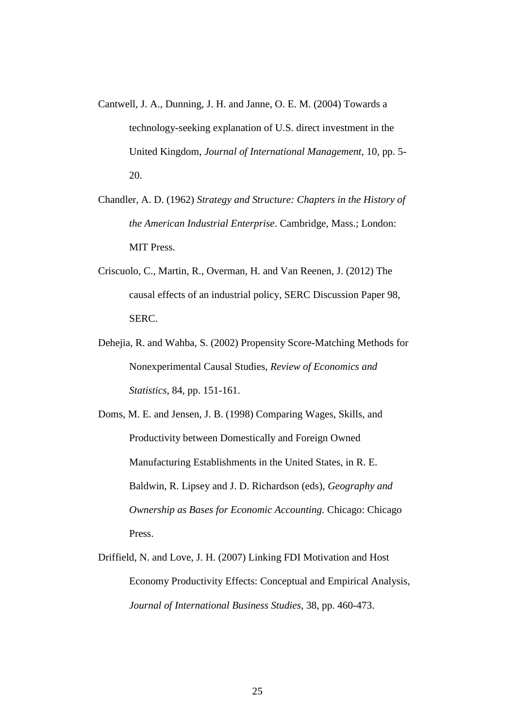- Cantwell, J. A., Dunning, J. H. and Janne, O. E. M. (2004) Towards a technology-seeking explanation of U.S. direct investment in the United Kingdom, *Journal of International Management,* 10, pp. 5- 20.
- Chandler, A. D. (1962) *Strategy and Structure: Chapters in the History of the American Industrial Enterprise*. Cambridge, Mass.; London: MIT Press.
- Criscuolo, C., Martin, R., Overman, H. and Van Reenen, J. (2012) The causal effects of an industrial policy, SERC Discussion Paper 98, SERC.
- Dehejia, R. and Wahba, S. (2002) Propensity Score-Matching Methods for Nonexperimental Causal Studies, *Review of Economics and Statistics,* 84, pp. 151-161.

Doms, M. E. and Jensen, J. B. (1998) Comparing Wages, Skills, and Productivity between Domestically and Foreign Owned Manufacturing Establishments in the United States, in R. E. Baldwin, R. Lipsey and J. D. Richardson (eds), *Geography and Ownership as Bases for Economic Accounting.* Chicago: Chicago Press.

Driffield, N. and Love, J. H. (2007) Linking FDI Motivation and Host Economy Productivity Effects: Conceptual and Empirical Analysis, *Journal of International Business Studies,* 38, pp. 460-473.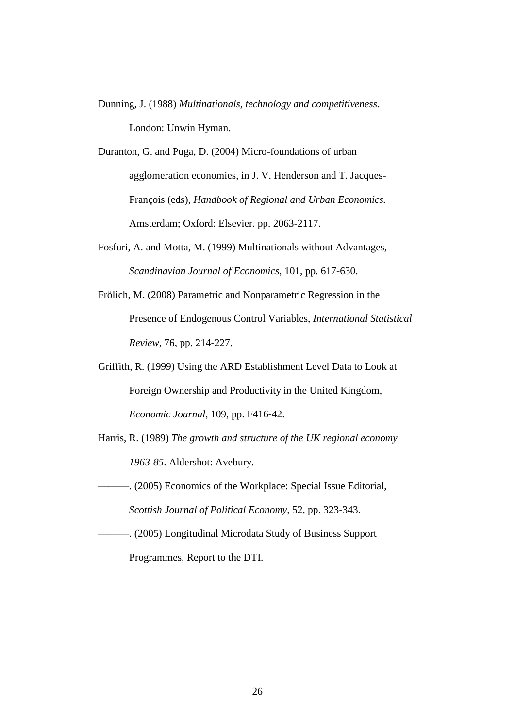- Dunning, J. (1988) *Multinationals, technology and competitiveness*. London: Unwin Hyman.
- Duranton, G. and Puga, D. (2004) Micro-foundations of urban agglomeration economies, in J. V. Henderson and T. Jacques-François (eds), *Handbook of Regional and Urban Economics.* Amsterdam; Oxford: Elsevier. pp. 2063-2117.
- Fosfuri, A. and Motta, M. (1999) Multinationals without Advantages, *Scandinavian Journal of Economics,* 101, pp. 617-630.
- Frölich, M. (2008) Parametric and Nonparametric Regression in the Presence of Endogenous Control Variables, *International Statistical Review,* 76, pp. 214-227.
- Griffith, R. (1999) Using the ARD Establishment Level Data to Look at Foreign Ownership and Productivity in the United Kingdom, *Economic Journal,* 109, pp. F416-42.
- Harris, R. (1989) *The growth and structure of the UK regional economy 1963-85*. Aldershot: Avebury.
- ———. (2005) Economics of the Workplace: Special Issue Editorial, *Scottish Journal of Political Economy,* 52, pp. 323-343.
- ———. (2005) Longitudinal Microdata Study of Business Support Programmes, Report to the DTI.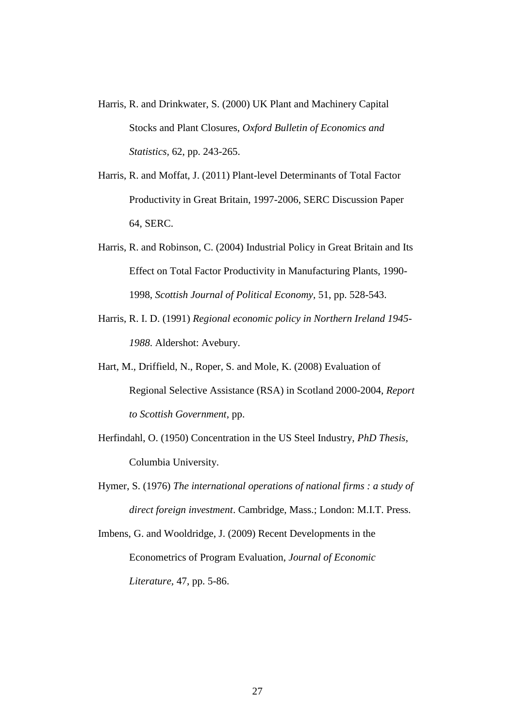- Harris, R. and Drinkwater, S. (2000) UK Plant and Machinery Capital Stocks and Plant Closures, *Oxford Bulletin of Economics and Statistics,* 62, pp. 243-265.
- Harris, R. and Moffat, J. (2011) Plant-level Determinants of Total Factor Productivity in Great Britain, 1997-2006, SERC Discussion Paper 64, SERC.
- Harris, R. and Robinson, C. (2004) Industrial Policy in Great Britain and Its Effect on Total Factor Productivity in Manufacturing Plants, 1990- 1998, *Scottish Journal of Political Economy,* 51, pp. 528-543.
- Harris, R. I. D. (1991) *Regional economic policy in Northern Ireland 1945- 1988*. Aldershot: Avebury.
- Hart, M., Driffield, N., Roper, S. and Mole, K. (2008) Evaluation of Regional Selective Assistance (RSA) in Scotland 2000-2004, *Report to Scottish Government*, pp.
- Herfindahl, O. (1950) Concentration in the US Steel Industry, *PhD Thesis*, Columbia University.
- Hymer, S. (1976) *The international operations of national firms : a study of direct foreign investment*. Cambridge, Mass.; London: M.I.T. Press.

Imbens, G. and Wooldridge, J. (2009) Recent Developments in the Econometrics of Program Evaluation, *Journal of Economic Literature,* 47, pp. 5-86.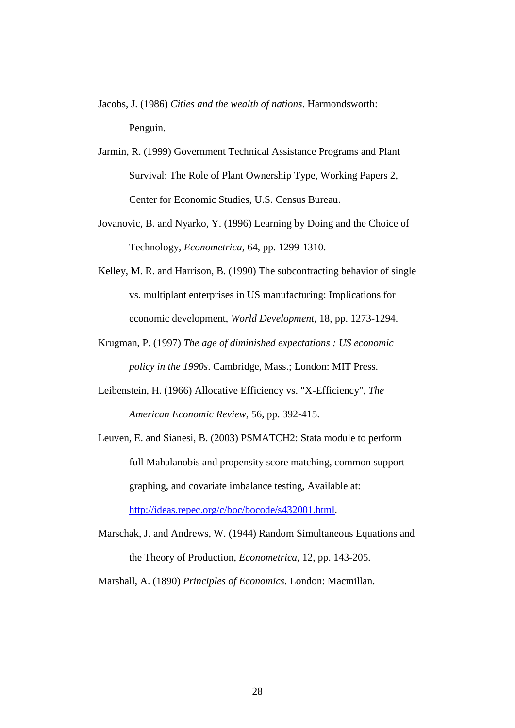- Jacobs, J. (1986) *Cities and the wealth of nations*. Harmondsworth: Penguin.
- Jarmin, R. (1999) Government Technical Assistance Programs and Plant Survival: The Role of Plant Ownership Type, Working Papers 2, Center for Economic Studies, U.S. Census Bureau.
- Jovanovic, B. and Nyarko, Y. (1996) Learning by Doing and the Choice of Technology, *Econometrica,* 64, pp. 1299-1310.
- Kelley, M. R. and Harrison, B. (1990) The subcontracting behavior of single vs. multiplant enterprises in US manufacturing: Implications for economic development, *World Development,* 18, pp. 1273-1294.
- Krugman, P. (1997) *The age of diminished expectations : US economic policy in the 1990s*. Cambridge, Mass.; London: MIT Press.
- Leibenstein, H. (1966) Allocative Efficiency vs. "X-Efficiency", *The American Economic Review,* 56, pp. 392-415.
- Leuven, E. and Sianesi, B. (2003) PSMATCH2: Stata module to perform full Mahalanobis and propensity score matching, common support graphing, and covariate imbalance testing, Available at: [http://ideas.repec.org/c/boc/bocode/s432001.html.](http://ideas.repec.org/c/boc/bocode/s432001.html)
- Marschak, J. and Andrews, W. (1944) Random Simultaneous Equations and the Theory of Production, *Econometrica,* 12, pp. 143-205.

Marshall, A. (1890) *Principles of Economics*. London: Macmillan.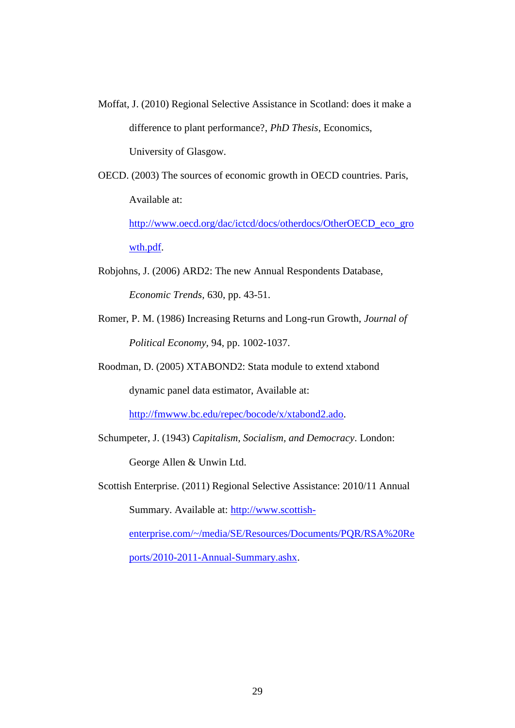- Moffat, J. (2010) Regional Selective Assistance in Scotland: does it make a difference to plant performance?, *PhD Thesis*, Economics, University of Glasgow.
- OECD. (2003) The sources of economic growth in OECD countries. Paris, Available at:

[http://www.oecd.org/dac/ictcd/docs/otherdocs/OtherOECD\\_eco\\_gro](http://www.oecd.org/dac/ictcd/docs/otherdocs/OtherOECD_eco_growth.pdf) [wth.pdf.](http://www.oecd.org/dac/ictcd/docs/otherdocs/OtherOECD_eco_growth.pdf)

- Robjohns, J. (2006) ARD2: The new Annual Respondents Database, *Economic Trends,* 630, pp. 43-51.
- Romer, P. M. (1986) Increasing Returns and Long-run Growth, *Journal of Political Economy,* 94, pp. 1002-1037.
- Roodman, D. (2005) XTABOND2: Stata module to extend xtabond

dynamic panel data estimator, Available at:

[http://fmwww.bc.edu/repec/bocode/x/xtabond2.ado.](http://fmwww.bc.edu/repec/bocode/x/xtabond2.ado)

Schumpeter, J. (1943) *Capitalism, Socialism, and Democracy*. London:

George Allen & Unwin Ltd.

Scottish Enterprise. (2011) Regional Selective Assistance: 2010/11 Annual Summary. Available at: [http://www.scottish-](http://www.scottish-enterprise.com/~/media/SE/Resources/Documents/PQR/RSA%20Reports/2010-2011-Annual-Summary.ashx)

[enterprise.com/~/media/SE/Resources/Documents/PQR/RSA%20Re](http://www.scottish-enterprise.com/~/media/SE/Resources/Documents/PQR/RSA%20Reports/2010-2011-Annual-Summary.ashx)

[ports/2010-2011-Annual-Summary.ashx.](http://www.scottish-enterprise.com/~/media/SE/Resources/Documents/PQR/RSA%20Reports/2010-2011-Annual-Summary.ashx)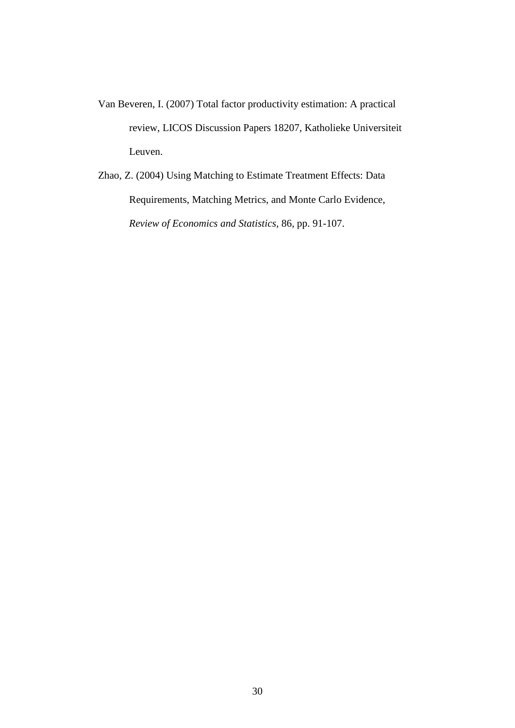- Van Beveren, I. (2007) Total factor productivity estimation: A practical review, LICOS Discussion Papers 18207, Katholieke Universiteit Leuven.
- Zhao, Z. (2004) Using Matching to Estimate Treatment Effects: Data Requirements, Matching Metrics, and Monte Carlo Evidence, *Review of Economics and Statistics,* 86, pp. 91-107.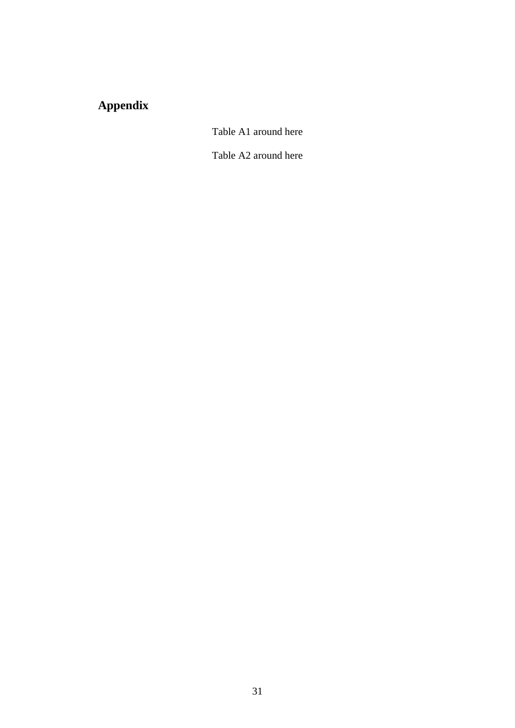# **Appendix**

Table A1 around here

Table A2 around here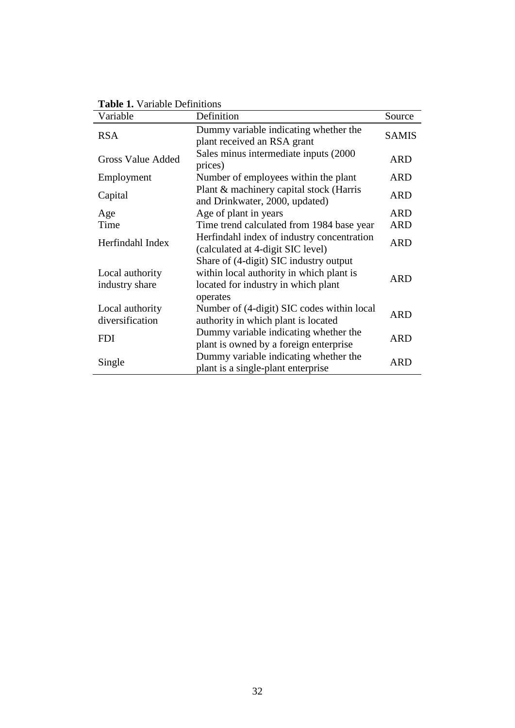|  |  | <b>Table 1.</b> Variable Definitions |
|--|--|--------------------------------------|
|--|--|--------------------------------------|

| Variable                           | Definition                                                                                                                            | Source       |
|------------------------------------|---------------------------------------------------------------------------------------------------------------------------------------|--------------|
| <b>RSA</b>                         | Dummy variable indicating whether the<br>plant received an RSA grant                                                                  | <b>SAMIS</b> |
| <b>Gross Value Added</b>           | Sales minus intermediate inputs (2000<br>prices)                                                                                      | ARD          |
| Employment                         | Number of employees within the plant                                                                                                  | <b>ARD</b>   |
| Capital                            | Plant & machinery capital stock (Harris<br>and Drinkwater, 2000, updated)                                                             | <b>ARD</b>   |
| Age                                | Age of plant in years                                                                                                                 | <b>ARD</b>   |
| Time                               | Time trend calculated from 1984 base year                                                                                             | <b>ARD</b>   |
| Herfindahl Index                   | Herfindahl index of industry concentration<br>(calculated at 4-digit SIC level)                                                       | <b>ARD</b>   |
| Local authority<br>industry share  | Share of (4-digit) SIC industry output<br>within local authority in which plant is<br>located for industry in which plant<br>operates | ARD          |
| Local authority<br>diversification | Number of (4-digit) SIC codes within local<br>authority in which plant is located                                                     | <b>ARD</b>   |
| <b>FDI</b>                         | Dummy variable indicating whether the<br>plant is owned by a foreign enterprise                                                       | <b>ARD</b>   |
| Single                             | Dummy variable indicating whether the<br>plant is a single-plant enterprise                                                           | ARD          |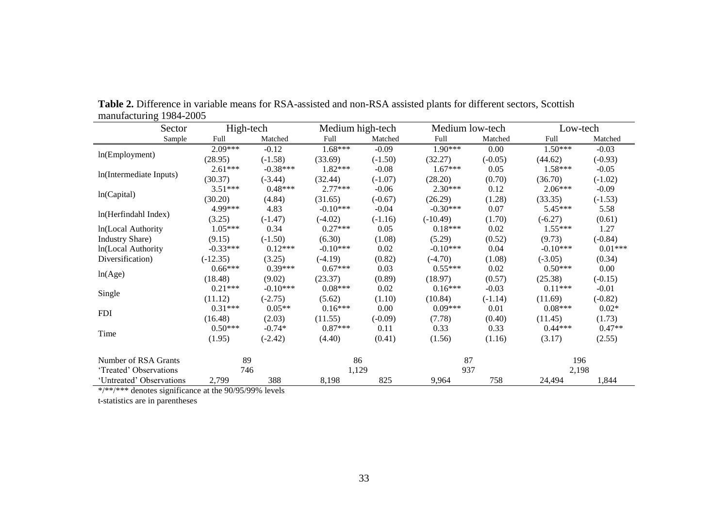| Sector                   | High-tech  |            | Medium high-tech |           | Medium low-tech |           |            | Low-tech  |  |
|--------------------------|------------|------------|------------------|-----------|-----------------|-----------|------------|-----------|--|
| Sample                   | Full       | Matched    | Full             | Matched   | Full            | Matched   | Full       | Matched   |  |
|                          | $2.09***$  | $-0.12$    | $1.68***$        | $-0.09$   | $1.90***$       | 0.00      | $1.50***$  | $-0.03$   |  |
| ln(Employment)           | (28.95)    | $(-1.58)$  | (33.69)          | $(-1.50)$ | (32.27)         | $(-0.05)$ | (44.62)    | $(-0.93)$ |  |
|                          | $2.61***$  | $-0.38***$ | $1.82***$        | $-0.08$   | $1.67***$       | 0.05      | $1.58***$  | $-0.05$   |  |
| In(Intermediate Inputs)  | (30.37)    | $(-3.44)$  | (32.44)          | $(-1.07)$ | (28.20)         | (0.70)    | (36.70)    | $(-1.02)$ |  |
|                          | $3.51***$  | $0.48***$  | $2.77***$        | $-0.06$   | $2.30***$       | 0.12      | $2.06***$  | $-0.09$   |  |
| ln(Capital)              | (30.20)    | (4.84)     | (31.65)          | $(-0.67)$ | (26.29)         | (1.28)    | (33.35)    | $(-1.53)$ |  |
|                          | 4.99***    | 4.83       | $-0.10***$       | $-0.04$   | $-0.30***$      | 0.07      | 5.45***    | 5.58      |  |
| ln(Herfindahl Index)     | (3.25)     | $(-1.47)$  | $(-4.02)$        | $(-1.16)$ | $(-10.49)$      | (1.70)    | $(-6.27)$  | (0.61)    |  |
| ln(Local Authority       | $1.05***$  | 0.34       | $0.27***$        | 0.05      | $0.18***$       | 0.02      | $1.55***$  | 1.27      |  |
| <b>Industry Share</b> )  | (9.15)     | $(-1.50)$  | (6.30)           | (1.08)    | (5.29)          | (0.52)    | (9.73)     | $(-0.84)$ |  |
| In(Local Authority       | $-0.33***$ | $0.12***$  | $-0.10***$       | 0.02      | $-0.10***$      | 0.04      | $-0.10***$ | $0.01***$ |  |
| Diversification)         | $(-12.35)$ | (3.25)     | $(-4.19)$        | (0.82)    | $(-4.70)$       | (1.08)    | $(-3.05)$  | (0.34)    |  |
|                          | $0.66***$  | $0.39***$  | $0.67***$        | 0.03      | $0.55***$       | 0.02      | $0.50***$  | 0.00      |  |
| ln(Age)                  | (18.48)    | (9.02)     | (23.37)          | (0.89)    | (18.97)         | (0.57)    | (25.38)    | $(-0.15)$ |  |
|                          | $0.21***$  | $-0.10***$ | $0.08***$        | 0.02      | $0.16***$       | $-0.03$   | $0.11***$  | $-0.01$   |  |
| Single                   | (11.12)    | $(-2.75)$  | (5.62)           | (1.10)    | (10.84)         | $(-1.14)$ | (11.69)    | $(-0.82)$ |  |
| <b>FDI</b>               | $0.31***$  | $0.05**$   | $0.16***$        | 0.00      | $0.09***$       | 0.01      | $0.08***$  | $0.02*$   |  |
|                          | (16.48)    | (2.03)     | (11.55)          | $(-0.09)$ | (7.78)          | (0.40)    | (11.45)    | (1.73)    |  |
|                          | $0.50***$  | $-0.74*$   | $0.87***$        | 0.11      | 0.33            | 0.33      | $0.44***$  | $0.47**$  |  |
| Time                     | (1.95)     | $(-2.42)$  | (4.40)           | (0.41)    | (1.56)          | (1.16)    | (3.17)     | (2.55)    |  |
| Number of RSA Grants     | 89         |            |                  | 86<br>87  |                 |           |            | 196       |  |
| 'Treated' Observations   | 746        |            | 1,129            |           | 937             |           | 2,198      |           |  |
| 'Untreated' Observations | 2,799      | 388        | 8,198            | 825       | 9,964           | 758       | 24,494     | 1,844     |  |

**Table 2.** Difference in variable means for RSA-assisted and non-RSA assisted plants for different sectors, Scottish manufacturing 1984-2005

\*/\*\*/\*\*\* denotes significance at the 90/95/99% levels

t-statistics are in parentheses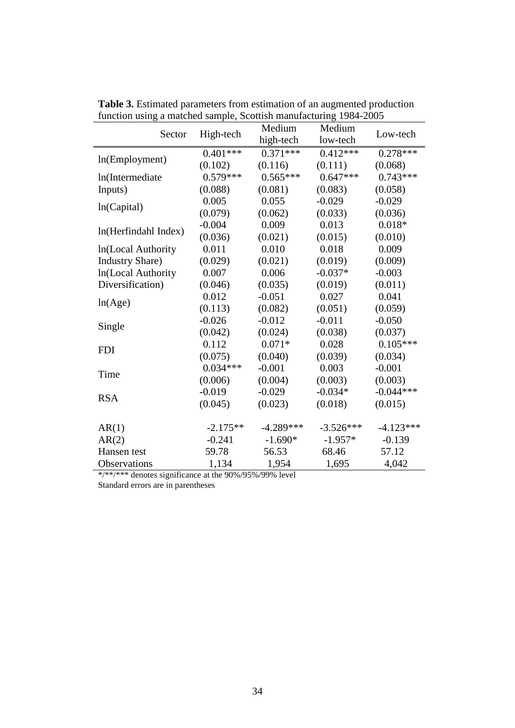| Sector                  | High-tech                 | Medium      | Medium      | Low-tech    |  |
|-------------------------|---------------------------|-------------|-------------|-------------|--|
|                         |                           | high-tech   | low-tech    |             |  |
|                         | $0.401***$                | $0.371***$  | $0.412***$  | $0.278***$  |  |
| ln(Employment)          | (0.102)                   | (0.116)     | (0.111)     | (0.068)     |  |
| In(Intermediate         | $0.579***$                | $0.565***$  | $0.647***$  | $0.743***$  |  |
| Inputs)                 | (0.088)                   | (0.081)     | (0.083)     | (0.058)     |  |
|                         | 0.005                     | 0.055       | $-0.029$    | $-0.029$    |  |
| ln(Capital)             | (0.079)                   | (0.062)     | (0.033)     | (0.036)     |  |
|                         | $-0.004$                  | 0.009       | 0.013       | $0.018*$    |  |
| ln(Herfindahl Index)    | (0.036)                   | (0.021)     | (0.015)     | (0.010)     |  |
| In(Local Authority      | 0.011                     | 0.010       | 0.018       | 0.009       |  |
| <b>Industry Share</b> ) | (0.029)                   | (0.021)     | (0.019)     | (0.009)     |  |
| In(Local Authority      | 0.007                     | 0.006       | $-0.037*$   | $-0.003$    |  |
| Diversification)        | (0.046)                   | (0.035)     | (0.019)     | (0.011)     |  |
|                         | 0.012                     | $-0.051$    | 0.027       | 0.041       |  |
| ln(Age)                 | (0.113)                   | (0.082)     | (0.051)     | (0.059)     |  |
|                         | $-0.026$                  | $-0.012$    | $-0.011$    | $-0.050$    |  |
| Single                  | (0.042)                   | (0.024)     | (0.038)     | (0.037)     |  |
| <b>FDI</b>              | 0.112                     | $0.071*$    | 0.028       | $0.105***$  |  |
|                         | (0.075)                   | (0.040)     | (0.039)     | (0.034)     |  |
|                         | $0.034***$                | $-0.001$    | 0.003       | $-0.001$    |  |
| Time                    | (0.006)                   | (0.004)     | (0.003)     | (0.003)     |  |
|                         | $-0.019$                  | $-0.029$    | $-0.034*$   | $-0.044***$ |  |
| <b>RSA</b>              | (0.045)                   | (0.023)     | (0.018)     | (0.015)     |  |
|                         |                           |             |             |             |  |
| AR(1)                   | $-2.175**$                | $-4.289***$ | $-3.526***$ | $-4.123***$ |  |
| AR(2)                   | $-0.241$                  | $-1.690*$   | $-1.957*$   | $-0.139$    |  |
| Hansen test             | 59.78                     | 56.53       | 68.46       | 57.12       |  |
| Observations            | 1,134                     | 1,954       | 1,695       | 4,042       |  |
| and a standard          | $1.41 - 0.00/1050/1000/1$ |             |             |             |  |

**Table 3.** Estimated parameters from estimation of an augmented production function using a matched sample, Scottish manufacturing 1984-2005

\*/\*\*/\*\*\* denotes significance at the 90%/95%/99% level

Standard errors are in parentheses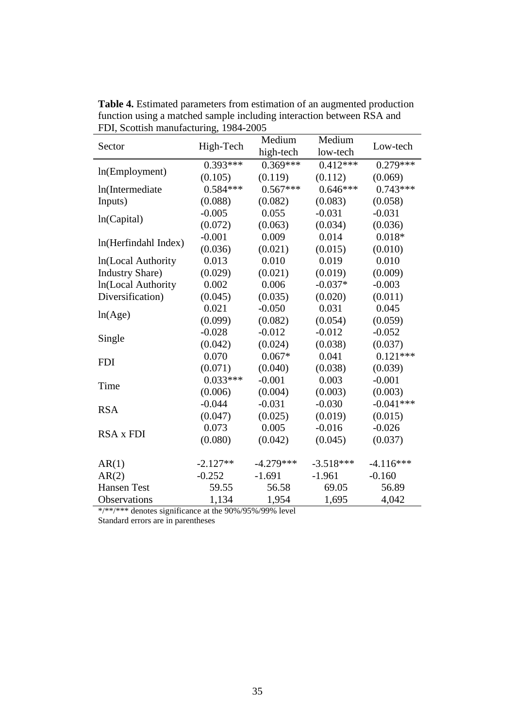| Sector                  | High-Tech  | Medium      | Medium      | Low-tech    |  |
|-------------------------|------------|-------------|-------------|-------------|--|
|                         |            | high-tech   | low-tech    |             |  |
|                         | $0.393***$ | $0.369***$  | $0.412***$  | $0.279***$  |  |
| ln(Employment)          | (0.105)    | (0.119)     | (0.112)     | (0.069)     |  |
| In(Intermediate         | $0.584***$ | $0.567***$  | $0.646***$  | $0.743***$  |  |
| Inputs)                 | (0.088)    | (0.082)     | (0.083)     | (0.058)     |  |
|                         | $-0.005$   | 0.055       | $-0.031$    | $-0.031$    |  |
| ln(Capital)             | (0.072)    | (0.063)     | (0.034)     | (0.036)     |  |
| ln(Herfindahl Index)    | $-0.001$   | 0.009       | 0.014       | $0.018*$    |  |
|                         | (0.036)    | (0.021)     | (0.015)     | (0.010)     |  |
| In(Local Authority      | 0.013      | 0.010       | 0.019       | 0.010       |  |
| <b>Industry Share</b> ) | (0.029)    | (0.021)     | (0.019)     | (0.009)     |  |
| In(Local Authority      | 0.002      | 0.006       | $-0.037*$   | $-0.003$    |  |
| Diversification)        | (0.045)    | (0.035)     | (0.020)     | (0.011)     |  |
|                         | 0.021      | $-0.050$    | 0.031       | 0.045       |  |
| ln(Age)                 | (0.099)    | (0.082)     | (0.054)     | (0.059)     |  |
|                         | $-0.028$   | $-0.012$    | $-0.012$    | $-0.052$    |  |
| Single                  | (0.042)    | (0.024)     | (0.038)     | (0.037)     |  |
| <b>FDI</b>              | 0.070      | $0.067*$    | 0.041       | $0.121***$  |  |
|                         | (0.071)    | (0.040)     | (0.038)     | (0.039)     |  |
| Time                    | $0.033***$ | $-0.001$    | 0.003       | $-0.001$    |  |
|                         | (0.006)    | (0.004)     | (0.003)     | (0.003)     |  |
|                         | $-0.044$   | $-0.031$    | $-0.030$    | $-0.041***$ |  |
| <b>RSA</b>              | (0.047)    | (0.025)     | (0.019)     | (0.015)     |  |
| <b>RSA x FDI</b>        | 0.073      | 0.005       | $-0.016$    | $-0.026$    |  |
|                         | (0.080)    | (0.042)     | (0.045)     | (0.037)     |  |
|                         |            |             |             |             |  |
| AR(1)                   | $-2.127**$ | $-4.279***$ | $-3.518***$ | $-4.116***$ |  |
| AR(2)                   | $-0.252$   | $-1.691$    | $-1.961$    | $-0.160$    |  |
| <b>Hansen Test</b>      | 59.55      | 56.58       | 69.05       | 56.89       |  |
| Observations            | 1,134      | 1,954       | 1,695       | 4,042       |  |

**Table 4.** Estimated parameters from estimation of an augmented production function using a matched sample including interaction between RSA and FDI, Scottish manufacturing, 1984-2005

\*/\*\*/\*\*\* denotes significance at the 90%/95%/99% level

Standard errors are in parentheses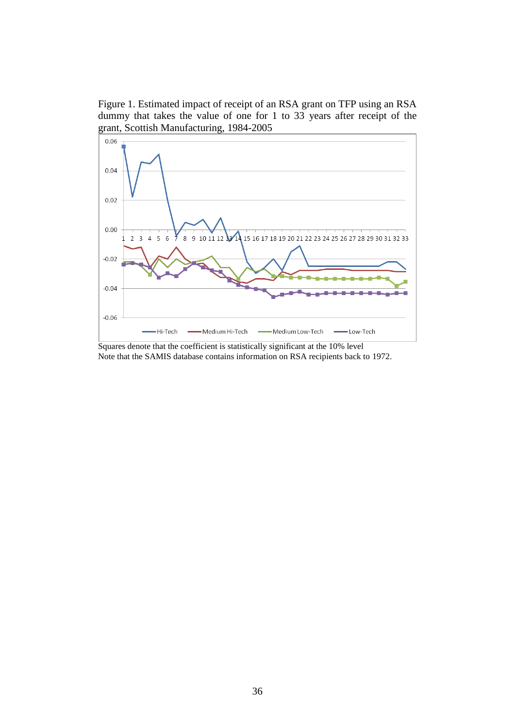Figure 1. Estimated impact of receipt of an RSA grant on TFP using an RSA dummy that takes the value of one for 1 to 33 years after receipt of the grant, Scottish Manufacturing, 1984-2005



Squares denote that the coefficient is statistically significant at the 10% level Note that the SAMIS database contains information on RSA recipients back to 1972.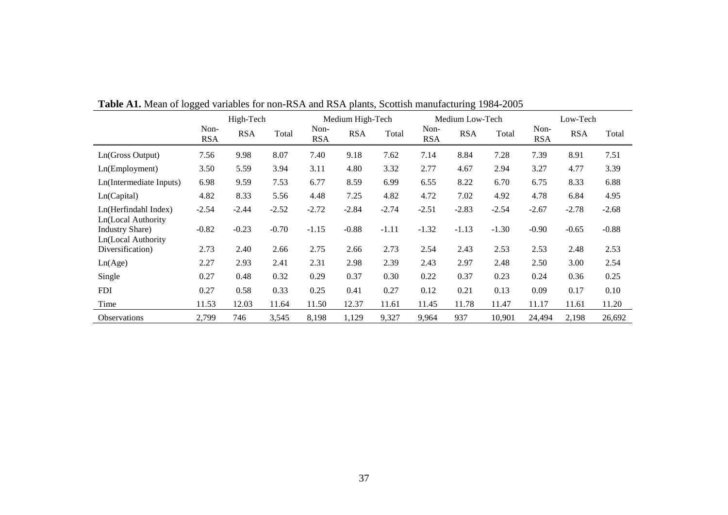|                                                                     | High-Tech          |            |         | Medium High-Tech   |            |         | Medium Low-Tech    |            |         | Low-Tech           |            |         |
|---------------------------------------------------------------------|--------------------|------------|---------|--------------------|------------|---------|--------------------|------------|---------|--------------------|------------|---------|
|                                                                     | Non-<br><b>RSA</b> | <b>RSA</b> | Total   | Non-<br><b>RSA</b> | <b>RSA</b> | Total   | Non-<br><b>RSA</b> | <b>RSA</b> | Total   | Non-<br><b>RSA</b> | <b>RSA</b> | Total   |
| Ln(Gross Output)                                                    | 7.56               | 9.98       | 8.07    | 7.40               | 9.18       | 7.62    | 7.14               | 8.84       | 7.28    | 7.39               | 8.91       | 7.51    |
| Ln(Employment)                                                      | 3.50               | 5.59       | 3.94    | 3.11               | 4.80       | 3.32    | 2.77               | 4.67       | 2.94    | 3.27               | 4.77       | 3.39    |
| Ln(Intermediate Inputs)                                             | 6.98               | 9.59       | 7.53    | 6.77               | 8.59       | 6.99    | 6.55               | 8.22       | 6.70    | 6.75               | 8.33       | 6.88    |
| Ln(Capital)                                                         | 4.82               | 8.33       | 5.56    | 4.48               | 7.25       | 4.82    | 4.72               | 7.02       | 4.92    | 4.78               | 6.84       | 4.95    |
| Ln(Herfindahl Index)                                                | $-2.54$            | $-2.44$    | $-2.52$ | $-2.72$            | $-2.84$    | $-2.74$ | $-2.51$            | $-2.83$    | $-2.54$ | $-2.67$            | $-2.78$    | $-2.68$ |
| Ln(Local Authority<br><b>Industry Share</b> )<br>Ln(Local Authority | $-0.82$            | $-0.23$    | $-0.70$ | $-1.15$            | $-0.88$    | $-1.11$ | $-1.32$            | $-1.13$    | $-1.30$ | $-0.90$            | $-0.65$    | $-0.88$ |
| Diversification)                                                    | 2.73               | 2.40       | 2.66    | 2.75               | 2.66       | 2.73    | 2.54               | 2.43       | 2.53    | 2.53               | 2.48       | 2.53    |
| Ln(Age)                                                             | 2.27               | 2.93       | 2.41    | 2.31               | 2.98       | 2.39    | 2.43               | 2.97       | 2.48    | 2.50               | 3.00       | 2.54    |
| Single                                                              | 0.27               | 0.48       | 0.32    | 0.29               | 0.37       | 0.30    | 0.22               | 0.37       | 0.23    | 0.24               | 0.36       | 0.25    |
| <b>FDI</b>                                                          | 0.27               | 0.58       | 0.33    | 0.25               | 0.41       | 0.27    | 0.12               | 0.21       | 0.13    | 0.09               | 0.17       | 0.10    |
| Time                                                                | 11.53              | 12.03      | 11.64   | 11.50              | 12.37      | 11.61   | 11.45              | 11.78      | 11.47   | 11.17              | 11.61      | 11.20   |
| Observations                                                        | 2,799              | 746        | 3,545   | 8,198              | 1,129      | 9,327   | 9,964              | 937        | 10,901  | 24,494             | 2,198      | 26,692  |

**Table A1.** Mean of logged variables for non-RSA and RSA plants, Scottish manufacturing 1984-2005